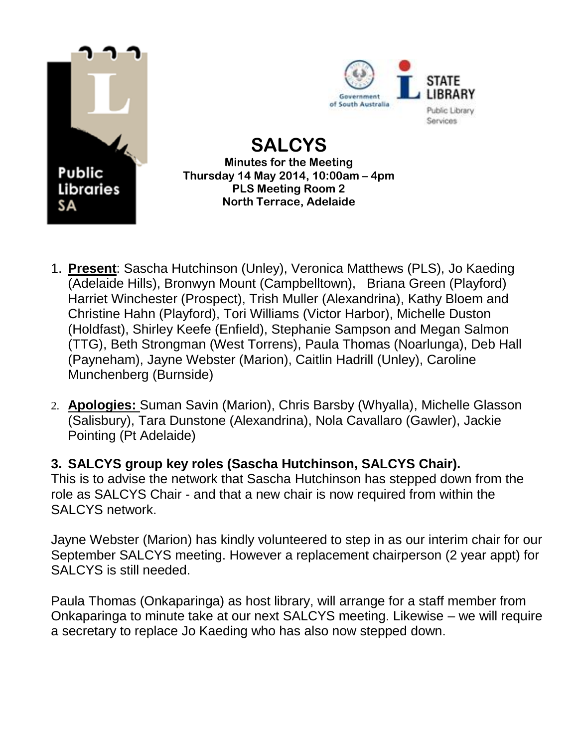



**SALCYS Minutes for the Meeting Thursday 14 May 2014, 10:00am – 4pm PLS Meeting Room 2 North Terrace, Adelaide** 

- 1. **Present**: Sascha Hutchinson (Unley), Veronica Matthews (PLS), Jo Kaeding (Adelaide Hills), Bronwyn Mount (Campbelltown), Briana Green (Playford) Harriet Winchester (Prospect), Trish Muller (Alexandrina), Kathy Bloem and Christine Hahn (Playford), Tori Williams (Victor Harbor), Michelle Duston (Holdfast), Shirley Keefe (Enfield), Stephanie Sampson and Megan Salmon (TTG), Beth Strongman (West Torrens), Paula Thomas (Noarlunga), Deb Hall (Payneham), Jayne Webster (Marion), Caitlin Hadrill (Unley), Caroline Munchenberg (Burnside)
- 2. **Apologies:** Suman Savin (Marion), Chris Barsby (Whyalla), Michelle Glasson (Salisbury), Tara Dunstone (Alexandrina), Nola Cavallaro (Gawler), Jackie Pointing (Pt Adelaide)

**3. SALCYS group key roles (Sascha Hutchinson, SALCYS Chair).** This is to advise the network that Sascha Hutchinson has stepped down from the role as SALCYS Chair - and that a new chair is now required from within the SALCYS network.

Jayne Webster (Marion) has kindly volunteered to step in as our interim chair for our September SALCYS meeting. However a replacement chairperson (2 year appt) for SALCYS is still needed.

Paula Thomas (Onkaparinga) as host library, will arrange for a staff member from Onkaparinga to minute take at our next SALCYS meeting. Likewise – we will require a secretary to replace Jo Kaeding who has also now stepped down.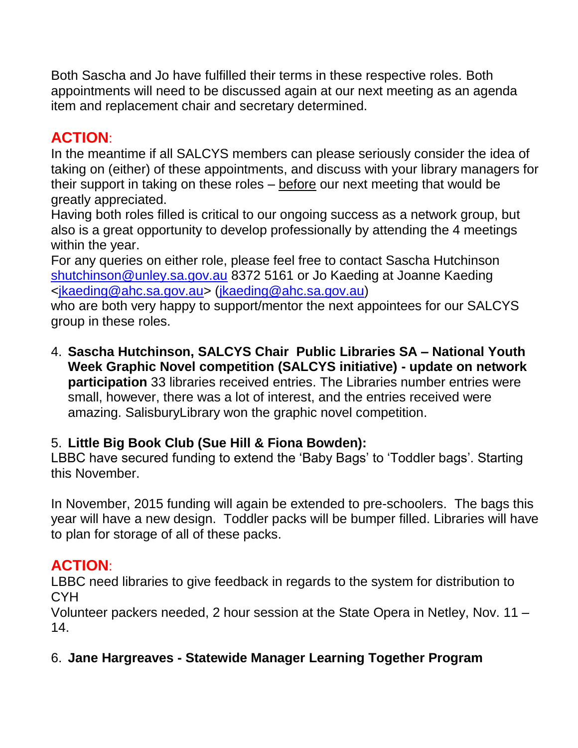Both Sascha and Jo have fulfilled their terms in these respective roles. Both appointments will need to be discussed again at our next meeting as an agenda item and replacement chair and secretary determined.

# **ACTION**:

In the meantime if all SALCYS members can please seriously consider the idea of taking on (either) of these appointments, and discuss with your library managers for their support in taking on these roles – before our next meeting that would be greatly appreciated.

Having both roles filled is critical to our ongoing success as a network group, but also is a great opportunity to develop professionally by attending the 4 meetings within the year.

For any queries on either role, please feel free to contact Sascha Hutchinson [shutchinson@unley.sa.gov.au](mailto:shutchinson@unley.sa.gov.au) 8372 5161 or Jo Kaeding at Joanne Kaeding [<jkaeding@ahc.sa.gov.au>](mailto:jkaeding@ahc.sa.gov.au) [\(jkaeding@ahc.sa.gov.au\)](mailto:jkaeding@ahc.sa.gov.au)

who are both very happy to support/mentor the next appointees for our SALCYS group in these roles.

4. **Sascha Hutchinson, SALCYS Chair Public Libraries SA – National Youth Week Graphic Novel competition (SALCYS initiative) - update on network participation** 33 libraries received entries. The Libraries number entries were small, however, there was a lot of interest, and the entries received were amazing. SalisburyLibrary won the graphic novel competition.

#### 5. **Little Big Book Club (Sue Hill & Fiona Bowden):**

LBBC have secured funding to extend the 'Baby Bags' to 'Toddler bags'. Starting this November.

In November, 2015 funding will again be extended to pre-schoolers. The bags this year will have a new design. Toddler packs will be bumper filled. Libraries will have to plan for storage of all of these packs.

# **ACTION**:

LBBC need libraries to give feedback in regards to the system for distribution to **CYH** 

Volunteer packers needed, 2 hour session at the State Opera in Netley, Nov. 11 – 14.

#### 6. **Jane Hargreaves - Statewide Manager Learning Together Program**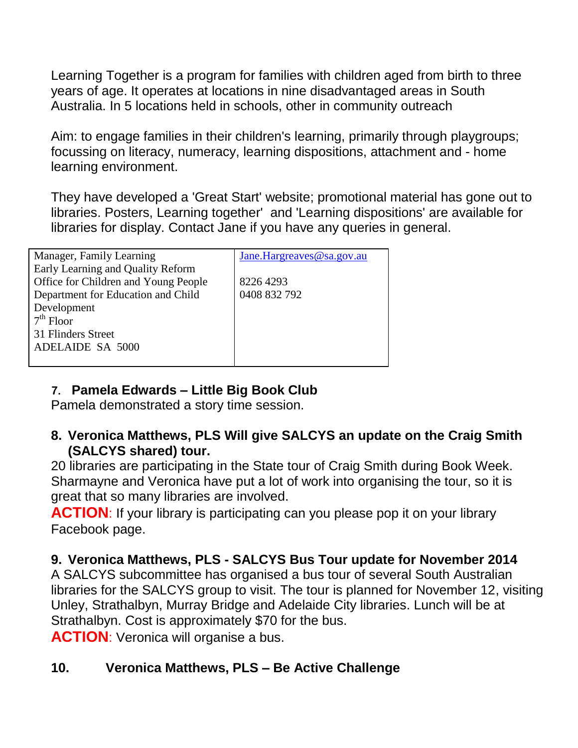Learning Together is a program for families with children aged from birth to three years of age. It operates at locations in nine disadvantaged areas in South Australia. In 5 locations held in schools, other in community outreach

Aim: to engage families in their children's learning, primarily through playgroups; focussing on literacy, numeracy, learning dispositions, attachment and - home learning environment.

They have developed a 'Great Start' website; promotional material has gone out to libraries. Posters, Learning together' and 'Learning dispositions' are available for libraries for display. Contact Jane if you have any queries in general.

| Manager, Family Learning             | Jane.Hargreaves@sa.gov.au |
|--------------------------------------|---------------------------|
| Early Learning and Quality Reform    |                           |
| Office for Children and Young People | 8226 4293                 |
| Department for Education and Child   | 0408 832 792              |
| Development                          |                           |
| $7th$ Floor                          |                           |
| 31 Flinders Street                   |                           |
| <b>ADELAIDE SA 5000</b>              |                           |
|                                      |                           |

#### **7. Pamela Edwards – Little Big Book Club**

Pamela demonstrated a story time session.

#### **8. Veronica Matthews, PLS Will give SALCYS an update on the Craig Smith (SALCYS shared) tour.**

20 libraries are participating in the State tour of Craig Smith during Book Week. Sharmayne and Veronica have put a lot of work into organising the tour, so it is great that so many libraries are involved.

**ACTION:** If your library is participating can you please pop it on your library Facebook page.

#### **9. Veronica Matthews, PLS - SALCYS Bus Tour update for November 2014**

A SALCYS subcommittee has organised a bus tour of several South Australian libraries for the SALCYS group to visit. The tour is planned for November 12, visiting Unley, Strathalbyn, Murray Bridge and Adelaide City libraries. Lunch will be at Strathalbyn. Cost is approximately \$70 for the bus.

**ACTION**: Veronica will organise a bus.

#### **10. Veronica Matthews, PLS – Be Active Challenge**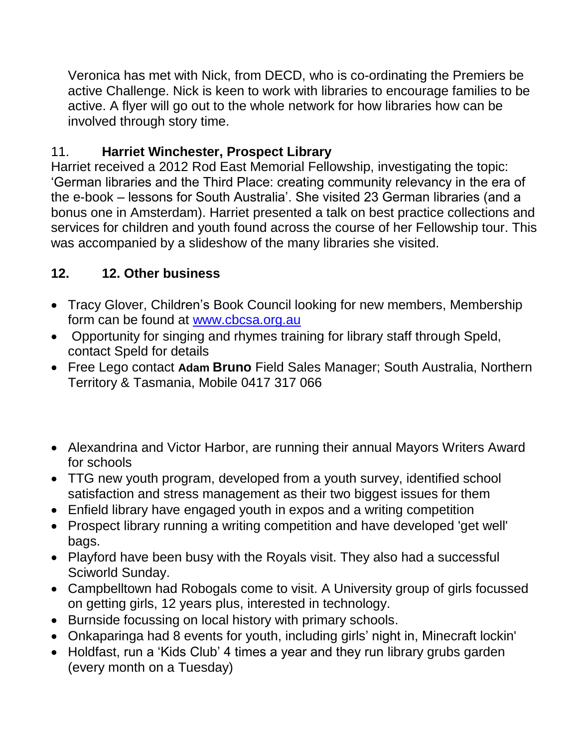Veronica has met with Nick, from DECD, who is co-ordinating the Premiers be active Challenge. Nick is keen to work with libraries to encourage families to be active. A flyer will go out to the whole network for how libraries how can be involved through story time.

### 11. **Harriet Winchester, Prospect Library**

Harriet received a 2012 Rod East Memorial Fellowship, investigating the topic: 'German libraries and the Third Place: creating community relevancy in the era of the e-book – lessons for South Australia'. She visited 23 German libraries (and a bonus one in Amsterdam). Harriet presented a talk on best practice collections and services for children and youth found across the course of her Fellowship tour. This was accompanied by a slideshow of the many libraries she visited.

### **12. 12. Other business**

- Tracy Glover, Children's Book Council looking for new members, Membership form can be found at [www.cbcsa.org.au](http://www.cbcsa.org.au/)
- Opportunity for singing and rhymes training for library staff through Speld, contact Speld for details
- Free Lego contact **Adam Bruno** Field Sales Manager; South Australia, Northern Territory & Tasmania, Mobile 0417 317 066
- Alexandrina and Victor Harbor, are running their annual Mayors Writers Award for schools
- TTG new youth program, developed from a youth survey, identified school satisfaction and stress management as their two biggest issues for them
- Enfield library have engaged youth in expos and a writing competition
- Prospect library running a writing competition and have developed 'get well' bags.
- Playford have been busy with the Royals visit. They also had a successful Sciworld Sunday.
- Campbelltown had Robogals come to visit. A University group of girls focussed on getting girls, 12 years plus, interested in technology.
- Burnside focussing on local history with primary schools.
- Onkaparinga had 8 events for youth, including girls' night in, Minecraft lockin'
- Holdfast, run a 'Kids Club' 4 times a year and they run library grubs garden (every month on a Tuesday)